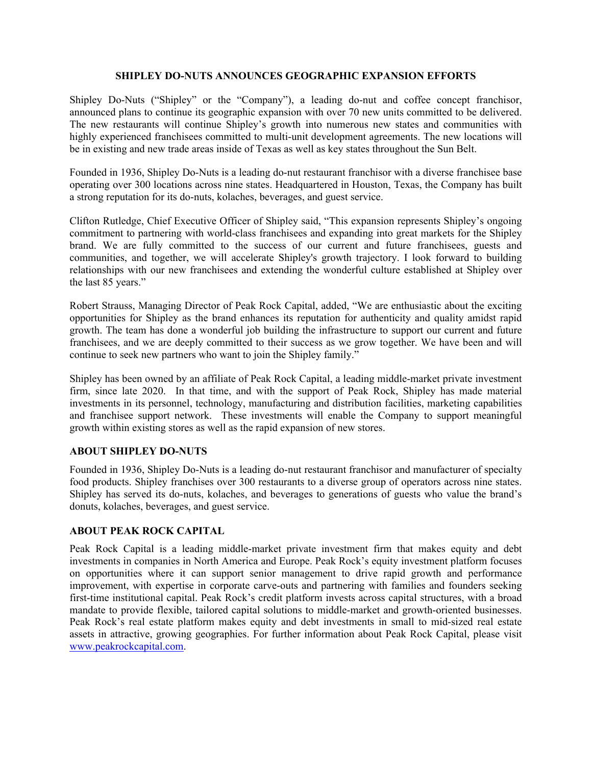## **SHIPLEY DO-NUTS ANNOUNCES GEOGRAPHIC EXPANSION EFFORTS**

Shipley Do-Nuts ("Shipley" or the "Company"), a leading do-nut and coffee concept franchisor, announced plans to continue its geographic expansion with over 70 new units committed to be delivered. The new restaurants will continue Shipley's growth into numerous new states and communities with highly experienced franchisees committed to multi-unit development agreements. The new locations will be in existing and new trade areas inside of Texas as well as key states throughout the Sun Belt.

Founded in 1936, Shipley Do-Nuts is a leading do-nut restaurant franchisor with a diverse franchisee base operating over 300 locations across nine states. Headquartered in Houston, Texas, the Company has built a strong reputation for its do-nuts, kolaches, beverages, and guest service.

Clifton Rutledge, Chief Executive Officer of Shipley said, "This expansion represents Shipley's ongoing commitment to partnering with world-class franchisees and expanding into great markets for the Shipley brand. We are fully committed to the success of our current and future franchisees, guests and communities, and together, we will accelerate Shipley's growth trajectory. I look forward to building relationships with our new franchisees and extending the wonderful culture established at Shipley over the last 85 years."

Robert Strauss, Managing Director of Peak Rock Capital, added, "We are enthusiastic about the exciting opportunities for Shipley as the brand enhances its reputation for authenticity and quality amidst rapid growth. The team has done a wonderful job building the infrastructure to support our current and future franchisees, and we are deeply committed to their success as we grow together. We have been and will continue to seek new partners who want to join the Shipley family."

Shipley has been owned by an affiliate of Peak Rock Capital, a leading middle-market private investment firm, since late 2020. In that time, and with the support of Peak Rock, Shipley has made material investments in its personnel, technology, manufacturing and distribution facilities, marketing capabilities and franchisee support network. These investments will enable the Company to support meaningful growth within existing stores as well as the rapid expansion of new stores.

## **ABOUT SHIPLEY DO-NUTS**

Founded in 1936, Shipley Do-Nuts is a leading do-nut restaurant franchisor and manufacturer of specialty food products. Shipley franchises over 300 restaurants to a diverse group of operators across nine states. Shipley has served its do-nuts, kolaches, and beverages to generations of guests who value the brand's donuts, kolaches, beverages, and guest service.

## **ABOUT PEAK ROCK CAPITAL**

Peak Rock Capital is a leading middle-market private investment firm that makes equity and debt investments in companies in North America and Europe. Peak Rock's equity investment platform focuses on opportunities where it can support senior management to drive rapid growth and performance improvement, with expertise in corporate carve-outs and partnering with families and founders seeking first-time institutional capital. Peak Rock's credit platform invests across capital structures, with a broad mandate to provide flexible, tailored capital solutions to middle-market and growth-oriented businesses. Peak Rock's real estate platform makes equity and debt investments in small to mid-sized real estate assets in attractive, growing geographies. For further information about Peak Rock Capital, please visit www.peakrockcapital.com.